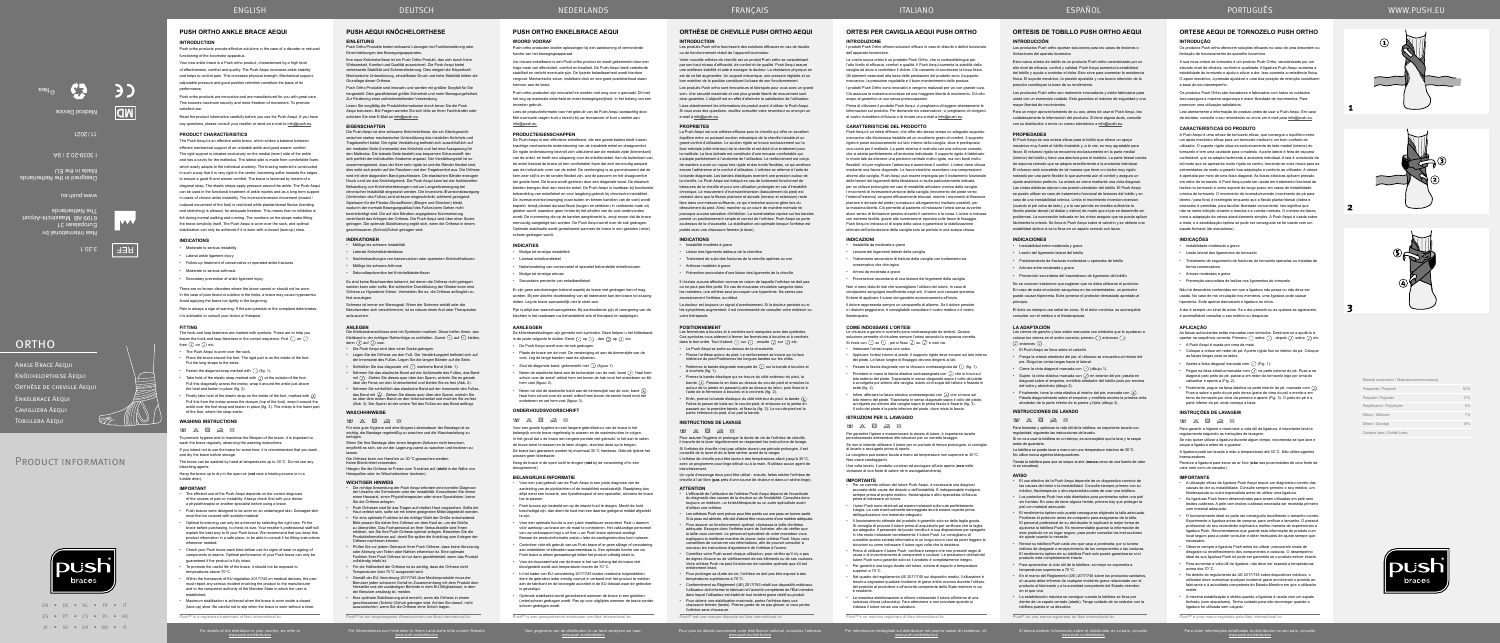EN • DE • NL • FR • IT ES • PT • CS • PL • HU JA • SV • DA • NO • FI

PRODUCT INFORMATION

Für Informationen zum Vertreiber in Ihrem Land siehe bitte unsere Website www.push.eu/distributors

Voor gegevens van de distributeur in uw land verwijzen we naar: www.push.eu/distributors

Pour plus de détails concernant votre distributeur national, consultez l'adresse www.push.eu/distributors

Push<sup>®</sup> est une marque déposée de Nea

Per informazioni dettagliate sul distributore nel proprio paese di residenza, cfr. www.push.eu/distributors

Si desea obtener información sobre el distribuidor en su país, consulte www.push.eu/distributors

Para obter informações detalhadas do distribuidor no seu país, consulte www.push.eu/distributors

# **ORTHÈSE DE CHEVILLE PUSH ORTHO AEQUI**

# **INTRODUCTION**

Les produits Push ortho fournissent des solutions efficaces en cas de trouble ou de fonctionnement réduit de l'appareil locomoteur.

Votre nouvelle orthèse de cheville est un produit Push ortho se caractérisant par son haut niveau d'efficacité, de confort et de qualité. Push Aequi assure une meilleure stabilité et aide à soulager la douleur. La résistance physique en est de ce fait augmentée. Un support mécanique, une pression réglable et un bon maintien de la position constituent la base de son fonctionnement.

Les produits Push ortho sont innovateurs et fabriqués pour vous avec un grand soin. Une sécurité maximale et une plus grande liberté de mouvement son ainsi garanties. L'objectif est en effet d'atteindre la satisfaction de l'utilisateur.

Lisez attentivement les informations de produit avant d'utiliser le Push Aequi. Si vous avez des questions, veuillez consulter votre revendeur ou envoyer un e-mail à info@push.eu.

#### **PROPRIETES**

Les fermetures à boucles et à crochets sont marquées avec des symboles. Ces symboles vous aideront à fermer les fermetures à bourges dans le bon ordre. Tout d'abord  $\overline{\odot}$  sur  $\overline{\odot}$  , ensuite  $\overline{\mathcal{Q}}$  sur  $\overline{\mathcal{Q}}$  etc.

• Prenez la bande élastique qui se trouve du côté extérieur du pied, la bande U. Passez-la en biais au dessus du cou-de-pied et enroulez-la<br>autour de la jambe en passant juste au dessus du talon, puis fixez-la à<br>l'aide de la fermeture à boucles et à crochets (fig. 2).

La Push Aequi est une orthèse efficace pour la cheville qui offre un excellent équilibre entre un puissant soutien mécanique de la cheville instable et un grand confort d'utilisation. Le soutien rigide se trouve exclusivement sur la face méciiale (côté intérieur) de la cheville et est doté d'un évidement pour la malléole. La face latérale est constituée d'une mousse comfortable qui s'adapte parfaitement à l'anatomie de l'utilisateur. Le renforcement est conçu de manière a avoir un noyau très rigide et des bords flexibles, ce qui améliore encore l'adhérence et le confort d'utilisation. L'orthèse se referme à l'aide de la bande diagonale. Les bandes élastiques exercent une pression autour de la cheville. Le Push Aequi est indiqué en cas de traitement fonctionnel de blessures de la cheville et pour une utilisation prolongée en cas d'instabilité chronique. Le mouvement d'inversion/éversion (basculement du pied) est restreint alors que la flexion plantaire et dorsale (tension et extension) reste libre dans une mesure suffisante, ce qui n'entraîne aucune gêne lors du déroulement du pied. Ainsi, marcher ou un courir de manière normale ne provoque aucune sensation d'inhibition. La numérotation reprise sur les bandes permet un positionnement simple et correct de l'orthèse. Push Aequi se porte au-dessus de la chaussette. La stabilisation est optimale lorsque l'orthèse est portée avec une chaussure fermée (à lacer).

• L'efficacité de l'utilisation de l'orthèse Push Aequi dépend de l'exactitude du diagnostic des causes de la douleur ou de l'instabilité. Consultez donc toujours un médecin, un kinésithérapeute ou un autre spécialiste avant d'utiliser une orthèse.

• Pour assurer un fonctionnement optimal, choisissez la taille d'orthèse adéquate. Essayez donc l'orthèse avant de l'acheter, afin de vérifier que la taille vous convient. Le personnel spécialisé de votre revendeur vous liquera la meilleure manière de placer votre orthèse Push. Nous vous

#### **INDICATIONS**

• Instabilité modérée à grave

• Lésion des ligaments latéraux de la chevillee

• Traitement de suite des fractures de la cheville opérées ou non

• Arthrose modérée à grave

• Prévention secondaire d'une lésion des ligaments de la cheville

Il n'existe aucune affection connue en raison de laquelle l'orthèse ne doit pas ou ne peut pas être porté. En cas de mauvaise circulation sanguine dans les membres, une orthèse peut provoquer une hyperémie. Ne serrez pas excessivement l'orthèse, au début.

Die Klettbandverschlüsse sind mit Symbolen markiert. Diese helfen Ihnen, das Klettband in der richtigen Reihenfolge zu schließen. Zuerst  $\odot$  auf  $\odot$  kletten,  $\dim \Omega$  auf  $\Omega$  usw.

La douleur est toujours un signal d'avertissement. Si la douleur persiste ou si les symptômes augmentent, il est recommandé de consulter votre médecin ou votre thérapeute.

#### **POSITIONNEMENT**

• Le Push Aequi se porte au dessus de la chaussette. • Placez l'orthèse autour du pied. Le renforcement se trouve sur la face

intérieure du pied Positionnez les longues bandes sur les côtés. Refermez la bande diagonale marquée de  $\odot$  sur la bande à boucles et à crochets (fig. 1).

• Enfin, prenez la bande élastique du côté intérieur du pied, la bande . Faites-la passer de biais sur le cou-de-pied, et entourez-en la jambe en passant sur la première bande, et fixez-la (fig. 3). Le cou-de-pied est la partie inférieure du pied, d'où part la bande.

#### **INSTRUCTIONS DE LAVAGE**

 $\qquad \qquad \blacksquare \; \boxtimes \; \boxtimes \; \boxtimes \; \boxtimes \; \boxtimes$ 

Pour assurer l'hygiène et prolonger la durée de vie de l'orthèse de cheville, il importe de la laver régulièrement en respectant les instructions de lavage. Si l'orthèse de cheville n'est pas utilisée durant une période prolongée, il est conseillé de la laver et de la faire sécher avant de la ranger.

#### Push Ortho Produkte bieten wirksame Lösungen bei Funktionsstörung oder Einschränkungen des Bewegungsapparate

L'orthèse de cheville peut être lavée à des températures allant jusqu'à 30°C, avec un programme pour linge délicat ou à la main. N'utilisez aucun agent de blanchissement.

Un cycle d'essorage doux peut être utilisé : ensuite, faites sécher l'orthèse de cheville à l'air libre (**pas** près d'une source de chaleur ni dans un sèche-linge).

#### **ATTENTION**

• Les orthèses Push sont prévus pour être portés sur une peau en bonne santé. Si la peau est abîmée, elle doit d'abord être recouverte d'une matière adéquate.

conseillons de conserver ces informations, afin de pouvoir consulter à nouveau les instructions d'ajustement de l'orthèse à l'avenir. • Contrôlez votre Push avant chaque utilisation, pour vérifier qu'il n'y a pas de signes d'usure ou de vieillissement de ses éléments ou de ses coutures. Votre orthèse Push ne peut fonctionner de manière optimale que s'il est

entièrement intact. • Pour prolonger sa durée de vie, l'orthèse ne doit pas être exposé à des températures supérieures à 70°C.

• Conformément au Règlement (UE) 2017/745 relatif aux dispositifs médicaux, l'utilisateur doit informer le fabricant et l'autorité compétente de l'État membre dans lequel l'utilisateur est établi de tout incident grave relatif au produit.

• Pour obtenir une stabilisation maximale, portez l'orthèse dans une chaussure fermée (lacée). Prenez garde de ne pas glisser, si vous portez l'orthèse sans chaussure.

#### **ANLEGEN**

- Die Push Aequi wird über einer Socke getragen.
- Legen Sie die Orthese um den Fuß. Der Verstärkungsteil befindet sich auf der Innenseite des Fußes. Legen Sie die langen Bänder auf die Seite. • Schließen Sie das diagonale, mit  $\odot$  markierte Band (Abb. 1).
- en Sie das elastische Band auf der Außenseite des Fußes, das Band mit . Ziehen Sie dieses quer über den Spann, wickeln Sie es gerade über der Ferse urn den Unterschenkel und kletten Sie es fest (Abb. 2).
- Nehmen Sie schließlich das elastische Band auf der Innenseite des Fußes, das Band mit  $(\lambda)$ . Ziehen Sie dieses quer über den Spann, wickeln Sie es über dem ersten Band um den Unterschenkel und machen Sie es fest (Abb. 3). Der Spann ist der untere Teil des Fußes wo das Band anfängt.

No se conocen trastornos que sugieran que no deba utilizarse el protecto. En caso de mala circulación sanguínea en las extremidades, un protector puede causar hiperemia. Evite ponerse el protector demasiado apretado al principio.

Los cierres de gancho y lazo están marcados con símbolos que le ayudaran a colocar los cierres en el orden correcta; primero  $\cup$  entonces  $\cup$ ;<br>
(*i*) entonces (*j*) .

#### **WASCHHINWEISE**

 $\qquad \qquad \blacksquare \; \boxtimes \; \boxtimes \; \boxtimes \; \boxtimes \; \boxtimes$ 

Für eine gute Hygiene und eine längere Lebensdauer der Bandage ist es wichtig, die Bandage regelmäßig zu waschen und die Waschanleitung zu befolgen.

# **INSTRUCCIONES DE LAVADO**  $W$   $X$   $\overline{R}$   $\overline{R}$   $\overline{R}$

Wenn Sie Ihre Bandage über einen längeren Zeitraum nicht benutzen, empfiehlt es sich, sie vor der Lagerung zuerst zu waschen und trocknen zu lassen.

Die Orthese kann von Hand bis zu 30°C gewaschen werden. Keine Bleichmittel verwenden.

Hängen Sie die Orthese im Freien zum Trocknen auf (**nicht** in der Nähe von Heizquellen oder im Wäschetrockner trocknen).

#### **WICHTIGER HINWEIS**

tobillera puesta si va descalzo. Push® es una marca registrada de Nea Intern

**ENKELBRACE AFOU** Cavigliera Aequi Tobillera Aequi

- Die richtige Anwendung der Push Aequi erfordert eine korrekte Diagnose der Ursache der Schmerzen oder der Instabilität. Konsultieren Sie immer einen Hausarzt, einen Physiotherapeuten oder einen Spezialisten, bevor Sie die Orthese anlegen.
- Push Orthesen sind für das Tragen auf intakter Haut vorgesehen. Sollte die Haut verletzt sein, sollte sie mit einem geeigneten Mittel abgedeckt werden.
- Für eine optimale Funktion ist die richtige Wahl der Größe entscheidend.<br>Bitte passen Sie daher Ihre Orthese vor dem Kauf an, um die Größe<br>zu überprüfen. Das Fachpersonal an Ihrer Verkaufsstelle wird Ihnen<br>erklären, wie Si Produktinformationen auf, damit Sie später die Anleitung zum Anlegen der Orthese nachlesen könn
- Prüfen Sie vor jedem Gebrauch Ihrer Push Orthese, dass keine Abnutzung oder Alterung von Teilen oder Nähten erkennbar ist. Eine optimale Funktion Ihrer Push Orthese ist nur dann gewährleistet, wenn das Produkt vllständig intakt ist.
- Für die Haltbarkeit der Orthese ist es wichtig, dass die Orthese nicht emperaturen über 70 °C ausgesetzt wird.
- Gemäß der EU-Verordnung 2017/745 über Medizinprodukte muss der<br>Benutzer jeden schweren Vorfall im Zusammenhang mit dem Produkt dem<br>Hersteller und der zuständigen Behörde in dem EU-Mitgliedstaat, in dem<br>der Benutzer ansässi
- Eine optimale Stabilisierung wird erreicht, wenn die Orthese in einer geschlossenen (Schnür-)Schuh getragen wird. Achten Sie darauf, nicht auszurutschen, wenn Sie die Orthese ohne Schuh tragen.

Push<sup>®</sup> ist ein eingetragenes Warenzeichen von Nea International

Push ortho products provide effective solutions in the case of a disorder or reduced functioning of the locomotor apparatus

Your new ankle brace is a Push ortho product, characterised by a high level of effectiveness, comfort and quality. The Push Aequi increases ankle stability and helps to control pain. This increases physical strength. Mechanical support adjustable pressure and good position retention constitute the basis of its performance.

# **PUSH AEQUI KNÖCHELORTHESE EINLEITUNG**

Ihre neue Knöchelorthese ist ein Push Ortho Produkt, das sich durch hohe Wirksamkeit, Komfort und Qualität auszeichnet. Die Push Aequi bietet verbesserte Stabilität und Schmerzlinderung. Dies steigert die Körperkraft. Mechanische Unterstützung, einstellbarer Druck und hohe Stabilität bilden die Grundlage dieser Orthese.

Push Ortho Produkte sind innovativ und werden mit größter Sorgfalt für Sie hergestellt. Dies gewährleistet größte Sicherheit und mehr Bewegungsfreiheit. Zur Förderung einer zufriedenstellenden Verwendung.

Lesen Sie sorgfältig die Produktinformationen durch bevor Sie die Push Aequi benutzen. Bei Fragen wenden Sie sich bitte an Ihren Fachhändler oder schicken Sie eine E-Mail an info@push.eu.

#### **EIGENSCHAFTEN**

- The Push Aequi is worn over the sock.
- Place the brace around the foot. The rigid part is on the inside of the foot. Put the long straps to the sides.
- Fasten the diagonal strap marked with  $\overline{\left( \cdot \right)}$  (fig. 1).
- Take hold of the elastic strap marked with  $\Box$  at the outside of the foot. Pull this diagonally across the instep, wrap it around the ankle just above the heel and fasten in place (fig. 2).
- Finally take hold of the elastic strap on the inside of the foot, marked with  $\overline{(\lambda)}$ Pull this from the instep across the dorsum (top of the foot), wrap it around the and near the method of the first strap and fasten in place (fig. 3). The instep is the lower part of the foot, where the strap starts.

Die Push Aequi ist eine wirksame Knöchelorthese, die ein Gleichgewicht zwischen starker mechanischer Unterstützung des instabilen Knöchels und agekomfort bietet. Die rigide Verstärkung befindet sich ausschließlich auf der medialen Seite (Innenseite) des Knöchels und hat eine Aussparung für den Malleolus. Die laterale Seite besteht aus bequemen Schaumstoff, der sich perfekt der individuellen Anatomie anpasst. Der Verstärkungsteil ist so zusammengesetzt, dass der Kern sehr rigide ist und die Ränder flexibel sind, dies wirkt sich positiv auf die Passform und den Tragekomfort aus. Die Orthese wird mit dem diagonalen Band geschlossen. Die elastischen Bänder erzeugen Druck rund um das Knöchelgelenk. Die Push Aequi kann bei der funktionelle Behandlung von Knöchelverletzungen und zur Langzeitversorgung bei chronischer Instabilität eingesetzt werden. Die Inversions-/Eversionsbewegung (Umknicken des Fußes) wird wirksam eingeschränkt, während genügend Spielraum für die Plantar-/Dorsalflexion (Biegen und Strecken) bleibt, wodurch der normale Bewegungsablauf des Fußes beim Gehen nicht beeinträchtigt wird. Die auf den Bändern angegebene Nummerierung vereinfacht das Anlegen der Orthese. Die Push Aequi wird über einer Socke getragen. Die optimale Stabilisierung ergibt sich, wenn die Orthese in einem geschlossenen (Schnür)Schuh getragen wird.

Uw nieuwe enkelbrace is een Push ortho product en wordt gekenmerkt door een hoge mate van effectiviteit, comfort en kwaliteit. De Push Aequi biedt verbeterde stabiliteit en verlicht eventuele pijn. De fysieke belastbaarheid wordt hierdoor vergroot. Mechanische steun, instelbare druk en een goed positiebehoud staan hiervoor aan de basis

#### **INDIKATIONEN** • Mäßige bis schwere Instabilität

- Laterale Knöchelbänderläsion
- Nachbehandlungen von konservativen oder operierten Knöchelfrakturen
- Mäßige bis schwere Arthrose
- Sekundärprävention bei Knöchelbänderläsion

Es sind keine Beschwerden bekannt, bei denen die Orthese nicht getragen werden kann oder sollte. Bei schlechter Durchblutung der Glieder kann eine Orthese zu Hyperämie führen. Vermeiden Sie es, die Orthese anfänglich zu fest anzulegen.

Schmerz ist immer ein Warnsignal. Wenn der Schmerz anhält oder die Beschwerden sich verschlimmern, ist es ratsam einen Arzt oder Therapeuten aufzusuchen.

**ORTESIS DE TOBILLO PUSH ORTHO AEQUI**

# **INTRODUCCIÓN**

Los productos Push ortho aportan soluciones para los casos de lesiones o limitaciones del aparato locomotor.

Pijn is altijd een waarschuwingsteken. Bij aanhoudende pijn of verergering van de klachten is het raadzaam uw behandelend arts of therapeut te raadplegen.

Esta nueva ortesis de tobillo es un producto Push ortho caracterizado por un alto nivel de eficacia, confort y calidad. Push Aequi aumenta la estabilidad del tobillo y ayuda a controlar el dolor. Esto sirve para aumentar la resistencia física. El soporte mecánico, la presión ajustable y una buena retención de la posición constituyen la base de su rendimiento.

De klittenbandsluitingen zijn gemerkt met symbolen. Deze helpen u het klittenband in de juiste volgorde te sluiten. Eerst  $\odot$  op  $\odot$  , dan  $\odot$  op  $\odot$  etc.

Los productos Push ortho son realmente innovadores y están fabricados para usted con un esmerado cuidado. Esto garantiza el máximo de seguridad y una mayor libertad de movimientos.

# **ONDERHOUDSVOORSCHRIFT**  $\qquad \qquad \blacksquare \qquad \boxtimes \qquad \boxtimes \qquad \boxtimes \qquad \boxtimes$

Para un mejor aprovechamiento de su uso, antes de usar el Push Aequi, lea cuidadosamente la información del producto. Si tiene alguna duda, consulte con su distribuidor o envíe un correo electrónico a info@push.eu.

#### **PROPIEDADES**

El Push Aequi es una ortesis eficaz para el tobillo que ofrece un apoyo mecánico muy fuerte al tobillo inestable y, a la vez, es muy agradable para llevar. El refuerzo rigido se encuentra exclusivamente en la parte medial (interior) del tobillo y tiene una abertura para el maléolo. La parte lateral consta de espuma cómodo que se adapta sencillamente a la anatomia individual. El refuerzo está concebido de tal manera que tiene un núcleo muy rigido rodeado por una parte flexible lo que aumenta aún el confort y asegura un ajuste anatómico perfecto. La ortesis se cierra mediante una cinta diagonal. Las cintas elásticas ejercen una presión alrededor del tobillo. El Push Aequi se puede utilizar en caso de tratamiento funcional de lesiones del tobillo y en caso de una inestabilidad crónica. Limita el movimiento inversion-eversion

In het kader van EU verordening 2017/745 inzake medische hulpmiddeler dient de gebruiker ieder ernstig voorval in verband met het product te melden aan de fabrikant en de bevoegde autoriteit in de EU-lidstaat waar de gebruiker

(cuando el pie volca de lado), y a la vez permite en medida suficiente la flexión plantar‑dorsal (al doblar y estirar) de modo que el pie se desenrolle sin problemas. La numeración indicada en las cintas asegura que se pueda aplicar fácilmente la ortesis. Se lleva el Push Aequi sobre el calcetín y se obtiene una estabilidad óptima si se la lleva en un zapato cerrado con lazos.

#### **INDICACIONES**

- Inestabilidad entre moderada y grave
- Lesión del ligamento lateral del tobillo
- Postratamiento de fracturas moderadas u operadas de tobillo
- Artrosis entre moderada y grave
- Prevención secundaria del traumatismo de ligamento del tobillo

El dolor es siempre una señal de aviso. Si el dolor continúa, es aconsejable consultar con el médico o el fisioterapeuta.

#### **LA ADAPTACIÓN**

Push Aequi è un'ortesi efficace, che offre allo stesso tempo un adeguato supporto meccanico alla tibiotarsica instabile ed un eccellente grado di comfort. Il supporto rigido è posto esclusivamente sul lato interno della caviglia, dove è predisposta una cavità per il malleolo. La parte esterna è costruita con una schiuma comodo, che si adatta perfettamente all'anatomia individuale. Il supporto rigido è fabbricato in modo tale da ottenere una porzione centrale molto rigida, ma con bordi molto flessibili: ciò per migliorare l'aderenza e aumentare il comfort. L'ortesi viene chiusa mediante una fascia diagonale. Le fasce elastiche esercitano una compressione attorno alla caviglia. Push Aequi può essere impiegata per il trattamento funzionale delle lesioni dei legamenti della tibiotarsica e risulta particolarmente indicata per un utilizzo prolungato nei casi di instabilità articolare cronica della caviglia. I movimenti di inversione/eversione della caviglia (movimento del piede verso l'interno/l'esterno) vengono efficacemente bloccati, mentre i movimenti di flessione plantare e dorsale del piede (curvatura e allungamento) risultano possibili, per la massima libertà. Ciò permette al paziente di indossare l'ortesi senza avvertire alcun senso di limitazione persino durante il cammino e la corsa. L'ortesi si indossa con estrema facilità, grazie alla numerazione riportata sulle fasce di fissaggio. Push Aequi si indossa al di sopra della calza e garantisce la stabilizza ottimale dell'articolazione della caviglia solo se portata in una scarpa chiusa.

- El Push Aequi se lleva sobre el calcetín.
- Ponga la ortesis alrededor del pie; el refuerzo se encuentra al interior del pie. Diriga las cintas largas hacia el lateral.
- Cierre la cinta diagonal marcada con  $\odot$  (dibujo 1).
- Sujete la cinta elástica marcada con (ق en exterior del pie; pásela en<br>diagonal sobre el empeine, enróllela alrededor del tobillo justo por encima<br>del talón y abróchela (dibujo 2).
- Finalmente, tome la cinta elástica al interior del pie, marcada con  $\Omega$ . Pásela diagonalmente sobre el empeine y enróllela encima la primera cinta alrededor de la parte inferior de la pierna y fíjela (dibujo 3).

Le chiusure a gancio e occhiello sono contrassegnate da simboli. Questa soluzione permette di chiudere sempre l'ortesi secondo la sequenza corretta. Si inizia con  $\odot$  su  $\odot$  , poi si fissa  $\bigcirc$  su  $\bigcirc$  e così via.

- Indossare l'ortesi sopra una calza. • Applicare l'ortesi intorno al piede. Il supporto rigido deve trovarsi sul lato interno del piede. Le fasce lunghe di fissaggio devono dirigersi ai lati.
- Fissare la fascia diagonale con la chiusura contrassegnata da  $\odot$  (fig. 1). Prendere in mano la fascia elastica contrassegnata con  $\Omega$  che si trova sul
- lato esterno del piede. Trazionarla in senso diagonale sopra il collo del piede e avvolgerla poi attorno alla caviglia, subito al di sopra del tallone e fissarla in sede (fig. 2).
- Infine, afferrare la fascia elastica contrassegnata con  $\Omega$  che si trova sul lato interno del piede. Trazionarla in senso diagonale sopra il collo del piede,<br>avvolgerla poi attorno alla caviglia sopra la prima fascia e fissarla (fig. 3).<br>Il collo del piede è la parte inferiore del piede, dove inizi

Para fomentar y optimizar la vida útil de la tobillera, es importante lavarla con

regularidad, siguiendo las instrucciones de lavado.

Si no va a usar la tobillera en un tiempo, es aconsejable que la lave y la seque

antes de guardarla.

La tobillera se puede lavar a mano con una temperatura máxima de 30°C.

No utilice nunca agentes blanqueadores.

Tienda la tobillera para que se seque al aire (**nunca** cerca de una fuente de calor

Per garantire l'igiene e massimizzare la durata di tutore, è importante lavarla periodicamente attenendosi alle istruzioni per un corretto lavaggi

ni en secadora).

**AVISO** • El uso efectivo de la Push Aequi depende de un diagnóstico correcto de las causas del dolor o la inestabilidad. Consulte siempre primero con su médico, fisioterapeuta u otro especialista antes de usar una tobillera. Los protectores Push han sido diseñados para ponérselos sobre una pie sin heridas. En caso de tener alguna herida, primero hay que proteger la

piel con material adecuado.

• El rendimiento óptimo solo puede conseguirse eligiendo la talla adecuada. Pruébese el protector antes de comprarlo para asegurarse de la talla. El personal profesional de su distribuidor le explicará la mejor forma de ajustarse la tobillera Push. Es recomendable guardar la información de este producto en un lugar seguro, para poder consultar las instrucciones

de ajuste cuando lo necesite.

producto está completamente intacto

• Revise su tobillera Push cada vez que vaya a ponérsela, por si tuviera indicios de desgaste o envejecimiento de los componentes o las costuras. El rendimiento óptimo de su tobillera Push solo puede garantizarse si el

• Para aprovechar la vida útil de la tobillera, es mejor no exponerla a

temperaturas superiores a 70°C.

• En el marco del Reglamento (UE) 2017/745 sobre los productos sanitarios, el usuario debe informar de cualquier incidente grave relacionado con el producto al fabricante y a la autoridad competente del Estado miembro

en el que viva.

• La estabilización máxima se consigue cuando la tobillera se lleva por dentro de un zapato cerrado (atado). Tenga cuidado de no resbalar con la

Ankle Brace Aequi KNÖCHELORTHESE AEQ Orthèse de cheville Aequi

# **PUSH ORTHO ANKLE BRACE AEQUI**

### **INTRODUCTION**

Push ortho products are innovative and are manufactured for you with great care. This ensures maximum security and more freedom of movement. To promote satisfied use.

Read the product information carefully before you use the Push Aequi. If you have any questions, please consult your reseller or send an e-mail to info@push.eu.

> As faixas autocolantes estão marcadas com símbolos. Destinam-se a ajudá-lo a apertar na sequência correcta. Primeiro  $\bigodot$  sobre  $\bigodot$  , depois  $\bigodot$  sobre  $\bigodot$  etc.

#### **PRODUCT CHARACTERISTICS**

Pegue na faixa elástica marcada com  $\overline{U}$  na parte exterior do pé. Puxe-a na diagonal pelo peito do pé, passe-a em redor do tornozelo logo por cima do calcanhar e aperte-a (Fig. 2). Finalmente, pegue na faixa elástica na parte interior do pé, marcada com  $\overline{(\lambda)}$ . Puxe-a sobre o peito do pé pelo dorso (parte de cima do pé) e enrole-a em torno do tornozelo por cima da primeira e aperte (Fig. 3). O peito do pé é a parte inferior do pé, onde começa a faixa.

**INSTRUÇÕES DE LAVAGEM**  $\qquad \qquad \ \ \, \boxtimes \qquad \ \ \, \boxtimes \qquad \ \ \, \boxtimes \qquad \ \ \, \otimes$ 

calor nem com um secado **IMPORTANTE**

• A utilização eficaz da ligadura Push Aequi requer um diagnóstico correto das causas de dor ou instabilidade. Consulte sempre primeiro o seu médico, um fisioterapeuta ou outro especialista antes de utilizar uma ligadura. • As ligaduras Push foram desenvolvidas para serem utilizadas em pele sem lesões cutâneas. A pele com lesões cutâneas necessita ser revestida primeiro

The Push Aequi is an effective ankle brace, which strikes a balance between efficient mechanical support of an unstable ankle and good wearer comfort. The rigid support is situated exclusively on the medial (inner) side of the ankle and has a cavity for the malleolus. The lateral side is made from comfortable foam, which easily adapts to the individual anatomy. The bracing material is constructed in such a way that it is very rigid in the centre, becoming softer towards the edges to ensure a good fit and wearer comfort. The brace is fastened by means of a diagonal strap. The elastic straps apply pressure around the ankle. The Push Aequi can be used in the functional treatment of ankle injuries and as a long term support in cases of chronic ankle instability. The inversion/eversion movement (inward / outward movement of the foot) is restricted while plantar/dorsal flexion (bending and stretching) is allowed, for adequate freedom. This means that no inhibition is felt during normal walking and running. The numbers on the straps make fitting the brace simplicity itself. The Push Aequi is worn over the sock, and optimal stabilisation can only be achieved if it is worn with a closed (lace-up) shoe.

# **INDICATIONS**

- Moderate to serious instability
- Lateral ankle ligament injury
- Follow-up treatment of conservative or operated ankle fractures
- Moderate to serious arthrosis
- Secondary prevention of ankle ligament injury

There are no known disorders where the brace cannot or should not be worn. In the case of poor blood circulation in the limbs, a brace may cause hyperaemia. Avoid applying the brace too tightly in the beginning.

Pain is always a sign of warning. If the pain persists or the complaint deteriorates, it is advisable to consult your doctor or therapist.

#### **FITTING**

The hook and loop fasteners are marked with symbols. These are to help you fasten the hook and loop fasteners in the correct sequence. First  $\odot$  on  $\odot$ , then  $\overline{(\cdot)}$  on  $\overline{(\cdot)}$  etc.

# **WASHING INSTRUCTIONS**

### $W$   $X$   $\overline{\mathcal{B}}$   $\overline{\mathcal{B}}$   $\overline{\mathcal{B}}$

To promote hygiene and to maximise the lifespan of the brace, it is important to wash the brace regularly, observing the washing instructions If you intend not to use the brace for some time, it is recommended that you wash

and dry the brace before storage. The brace can be washed by hand at temperatures up to 30°C. Do not use any

bleaching agents.

Hang the brace up to dry in the open air (**not** near a heating source or in a tumble drier).

#### **IMPORTANT**

- The efficient use of the Push Aequi depends on the correct diagnosis of the causes of pain or instability. Always check first with your doctor, a physiotherapist or another specialist before using a brace.
- Push braces were designed to be worn on an undamaged skin. Damaged skin must first be covered with suitable material.
- Optimal functioning can only be achieved by selecting the right size. Fit the brace before purchasing, to check its size. Your reseller's professional staff will explain the best way to fit your Push brace. We recommend that you keep this product information in a safe place, to be able to consult it for fitting instructions whenever needed.
- Check your Push brace each time before use for signs of wear or ageing of components or seams. Optimal performance of your Push brace can only be guaranteed if the product is fully intact.
- To promote the useful life of the brace, it should not be exposed to temperatures above 70°C.
- Within the framework of EU regulation 2017/745 on medical devices, the user must report any serious incident involving the product to the manufacturer and to the competent authority of the Member State in which the user is established.
- Maximum stabilisation is achieved when the brace is worn inside a closed (lace-up) shoe. Be careful not to slip when the brace is worn without a shoe.

 $P_{\text{ueb}}$ ® is a registered trademark of Nea International

# **PUSH ORTHO ENKELBRACE AEQUI**

## **WOORD VOORAF**

Push ortho producten bieden oplossingen bij een aandoening of verminderde functie van het bewegingsapparaat.

Push ortho producten zijn innovatief en worden met zorg voor u gemaakt. Dit met het oog op maximale zekerheid en meer bewegingsvrijheid. In het belang van een tevreden gebruik.

Lees de productinformatie voor het gebruik van de Push Aequi aandachtig door. Met eventuele vragen kunt u terecht bij uw leverancier of kunt u stellen aan info@push.eu.

#### **PRODUCTEIGENSCHAPPEN**

De Push Aequi is een effectieve enkelbrace, die een goede balans biedt tussen krachtige mechanische ondersteuning van de instabiele enkel en draagcomfort. De rigide ondersteuning bevindt zich uitsluitend aan de mediale zijde (binnenkant) van de enkel, en heeft een uitsparing voor de enkelknobbel. Aan de buitenkant van de enkel bestaat de brace uit een comfortabel foam dat zich eenvoudig aanpast aan de individuele vorm van de enkel. De versteviging is zo geconstrueerd dat de kern zeer stijf is en de randen flexibel zijn, wat de pasvorm en het draagcomfort ten goede komt. De brace wordt gesloten door een diagonale band. De elastisch banden brengen druk aan rond de enkel. De Push Aequi is inzetbaar bij functionele behandeling van enkelletsel en voor langdurig gebruik bij chronische instabiliteit. De inversie-eversie beweging (naar buiten en binnen kantelen van de voet) wordt beperkt, terwijl plantair dorsaal-flexie (buigen en strekken) in voldoende mate vrij gelaten wordt, waardoor geen hinder bij het afrollen van de voet ondervonden wordt. De nummering die op de banden aangebracht is, zorgt ervoor dat de brace eenvoudig aangelegd kan worden. De Push Aequi wordt over de sok gedragen. Optimale stabilisatie wordt gerealiseerd wanneer de brace in een gesloten (veter) schoen gedragen wordt.

#### **INDICATIES**

- Matige tot ernstige instabiliteit
- Lateraal enkelbandletsel
- Nabehandeling van conservatief of operatief behandelde enkelfracturen
- Matige tot ernstige artrose
- Secundaire preventie van enkelbandletsel

Er zijn geen aandoeningen bekend waarbij de brace niet gedragen kan of mag worden. Bij een slechte doorbloeding van de ledematen kan een brace tot stuwing leiden. Leg de brace aanvankelijk niet te strak aan.

#### **AANLEGGEN**

- De Push Aequi wordt over de sok gedragen. • Plaats de brace om de voet. De versteviging zit aan de binnenzijde van de voet. Leg de lange banden naar de zijkanten.
- Sluit de diagonale band, gekenmerkt met  $\bigcap$  (figuur 1).
- Neem de elastische band aan de buitenzijde van de voet, band  $\overline{Q}$ . Haal hem schuin over de wreef, wikkel hem net boven de hak rond het onderbeen en klit hem vast (figuur 2).
- Neem tot slot de elastische band aan de binnenzijde van de voet, band  $\Omega$ Haal hem schuin over de wreef, wikkel hem boven de eerste band rond het onderbeen en zet hem vast (figuur 3).

Voor een goede hygiëne en een langere gebruiksduur van de brace is het belangrijk om de brace regelmatig te wassen en de wasinstructies te volgen. In het geval dat u de brace een langere periode niet gebruikt, is het aan te raden de brace eerst te wassen en te laten drogen, alvorens deze op te bergen. De brace kan gewassen worden bij maximaal 30°C handwas. Gebruik tijdens het

Hang de brace in de open lucht te drogen (**niet** bij de verwarming of in een

droogtrommel)

**BELANGRIJKE INFORMATIE**

wassen geen bleekwater

• Voor een juist gebruik van de Push Aequi is een juiste diagnose van de aanleiding van de pijnklachten of de instabiliteit noodzakelijk. Raadpleeg dus altijd eerst een huisarts, een fysiotherapeut of een specialist, alvorens de brace

toe te passen.

• Push braces zijn bedoeld om op de intacte huid te dragen. Mocht de huid beschadigd zijn, dan dient de huid met een daartoe geëigend middel afgedekt

te zijn.

• Voor een optimale functie is een juiste maatkeuze essentieel. Past u daarom vóór aankoop uw brace om de maat te controleren. Het vakkundige personeel van uw verkooppunt legt u uit hoe u uw Push brace optimaal aanlegt. Bewaar de productinformatie zodat u later de aanleginstructies kunt nalezen. • Controleer vóór elk gebruik van uw Push brace of er geen slijtage of veroudering aan onderdelen of stiknaden waarneembaar is. Een optimale functie van uw Push brace is alleen gewaarborgd indien het product volledig intact is. • Voor de duurzaamheid van de brace is het van belang dat de brace niet

blootgesteld wordt aan temperaturen boven de 70°C.

is gevestigd.

 $P_{\text{ue}}$ h<sup> $\hat{R}$ </sup> is een d

• Optimale stabilisatie wordt gerealiseerd wanneer de brace in een gesloten (veter)schoen gedragen wordt. Pas op voor uitglijden wanneer de brace zonder

schoen gedragen wordt.

ITALIANO ESPAÑOL

# **INTRODUZIONE**

I prodotti Push Ortho offrono soluzioni efficaci in caso di disturbi o deficit funzionale dell'apparato locomotore. La vostra nuova ortesi è un prodotto Push Ortho, che si contraddistingue per

l'alto livello di efficacia, comfort e qualità. Il Push Aequi aumenta la stabilità della caviglia ed aiuta a controllare il dolore. Ciò consente di accrescere la forza fisica. Gli elementi essenziali alla base delle prestazioni del prodotto sono il supporto meccanico, la pressione regolabile e il buon mantenimento della postura.

I prodotti Push Ortho sono innovativi e vengono realizzati per voi con grande cura. Ciò assicura la massima sicurezza ed una maggiore libertà di movimento. Ciò allo scopo di garantire un uso senza preoccupazioni.

Prima di utilizzare il prodotto Push Aequi, vi preghiamo di leggere attentamente le informazioni sul prodotto. Per domande e/o osservazioni, vi preghiamo di rivolgervi al vostro rivenditore di fiducia o di inviare una e-mail a info@push.eu.

#### **CARATTERISTICHE DEL PRODOTTO**

#### **INDICAZIONI**

- Instabilità da moderata a grave
- Lesione dei legamenti laterali della caviglia
- Trattamento secondario di fratture della caviglia con trattamento sia conservativo che chirurgico
- Artrosi da moderata a grave
- Prevenzione secondaria di una lesione dei legamenti della caviglia

Non vi sono disturbi noti che sconsigliano l'utilizzo del tutore. In caso di circolazione sanguigna insufficiente negli arti, il tutore può causare iperemia. Evitare di applicare il tutore stringendolo eccessivamente all'inizio. Il dolore rappresenta sempre un campanello di allarme. Se il dolore persiste o i disturbi peggiorano, è consigliabile consultare il vostro medico o il vostro fisioterapista.

#### **COME INDOSSARE L'ORTESI**

# **ISTRUZIONI PER IL LAVAGGIO**

 $\qquad \qquad \blacksquare \qquad \boxtimes \qquad \boxtimes \qquad \boxtimes$ 

- Se non si intende utilizzare il tutore per un periodo di tempo prolungato, si consiglia di lavarlo e asciugarlo prima di riporlo.
- La cavigliera può essere lavata a mano ad temperatura non superiore ai 30°C. Ion usare candeggianti.
- Una volta lavato, il prodotto va steso ad asciugare all'aria aperta (**non** nelle
- vicinanze di una fonte di calore né in asciugabiancheria).

#### **IMPORTANTE**

- Per un corretto utilizzo del tutore Push Aequi, è necessaria una diagnosi accurata delle cause dei disturbi o dell'instabilità. È indispensabile rivolgersi sempre prima al proprio medico, fisioterapista o altro specialista di fiducia prima di indossare un tutore.
- I tutori Push sono destinati ad essere indossati sulla cute perfettamente integra. La cute eventualmente danneggiata dovrà essere coperta prima dell'applicazione con materiale adeguato.
- Il funzionamento ottimale del prodotto è garantito solo se della taglia giusta. Si consiglia di provare il tutore prima di acquistarlo per verificare che la taglia sia adeguata. Il personale del punto vendita è a sua disposizione per spiegarle in che modo indossare correttamente il tutore Push. Le consigliamo di custodire questa scheda informativa in un luogo sicuro così da poter leggere le istruzioni su come indossare il tutore ogni volta che lo desidera.
- Prima di utilizzare il tutore Push, verificare sempre che non presenti segni di sura o di invecchiamento di componenti o cuciture. Le prestazioni ottimali del tutore Push sono garantite solo se il prodotto è completamente integro.
- Per garantire una lunga durata del tutore, evitare di esporlo a temperature superiori a 70°C.
- Nel quadro del regolamento UE 2017/745 sui dispositivi medici, l'utilizzatore è tenuto a segnalare qualsiasi incidente di grave entità occorso durante l'utilizzo del prodotto al produttore e all'autorità competente dello Stato membro in cui è residente.
- La massima stabilizzazione si ottiene indossando il tutore all'interno di una calzatura chiusa (allacciata). Fare attenzione a non scivolare quando si indossa il tutore senza una calzatura.

 $\overline{P_{\text{UBh}} \otimes e}$  un marchio registrato di Nea International b

# WWW.PUSH.EU







**ORTESE AEQUI DE TORNOZELO PUSH ORTHO**

**INTRODUÇÃO**

Os produtos Push ortho oferecem soluções eficazes no caso de uma desordem ou

limitação de funcionamento do aparelho locomotor.

A sua nova ortese de tornozelo é um produto Push Ortho, caracterizado por um elevado nível de eficácia, conforto e qualidade. A ligadura Push Aequi aumenta a estabilidade do tornozelo e ajuda a aliviar a dor. Isso aumenta a resistência física. O apoio mecânico, a pressão ajustável e uma boa posição de retenção constituem

a base do seu desempenho.

Os produtos Push Ortho são inovadores e fabricados com todos os cuidados. Isso assegura a máxima segurança e maior liberdade de movimentos. Para

promover uma utilização satisfatória.

Leia atentamente a informação do produto antes de usar a Push Aequi. Em caso de dúvidas, consulte o seu revendedor ou envie um e-mail para info@push.eu.

**CARACTERÍSTICAS DO PRODUTO**

A Push Aequi é uma ortose de tornozelo eficaz, que consegue o equilíbrio entre um apoio mecânico eficaz para um tornozelo instável e um bom conforto do utilizador. O suporte rígido situa-se exclusivamente do lado medial (interior) do tornozelo e tem uma cavidade para o maléolo. A parte lateral é feira de espuma confortável, que se adapta facilmente à anatomia individual. A tala é construída de tal modo que se apresenta muito rígida no centro, tornando-se mais macia para as extremidades de modo a garantir boa adaptação e conforto ao utilizador. A ortose é apertada por meio de uma faixa diagonal. As faixas elásticas aplicam pressão em redor do tornozelo. A Push Aequi pode ser usada em tratamento funcional de lesões no tornozelo e como suporte de longo prazo em casos de instabilidade crónica do tornozelo. O movimento de inversão/eversão (movimento do pé para dentro / para fora) é restringido enquanto que a flexão plantar/dorsal (dobra e extensão) é permitida, para facultar liberdade conveniente. Isto significa que não se sente inibição durante a marcha e a corrida normais. O número de faixas torna a adaptação da ortose absolutamente simples. A Push Aequi é usada sobre a meia, e a estabilização óptima só pode ser conseguida se for usada com um

sapato fechado (de atacadores).

**INDICAÇÕES**

• Instabilidade moderada a grave • Lesão lateral dos ligamentos do tornozelo

• Tratamento de seguimento de fracturas do tornozelo operadas ou tratadas de

forma conservadora • Artrose moderada a grave

• Prevenção secundária de lesões nos ligamentos do tornozelo Não há desordens conhecidas em que a ligadura não possa ou não deva ser usada. No caso de má circulação nos membros, uma ligadura pode causar

hiperemia. Evite apertar demasiado a ligadura no início.

Aperte a faixa diagonal marcada com  $\bigodot$  (Fig. 1).

A dor é sempre um sinal de aviso. Se a dor persistir ou as queixas se agravarem,

é aconselhável consultar o seu médico ou terapeuta.

**APLICAÇÃO**

• A Push Aequi é usada por cima da meia.

• Coloque a ortose em redor do pé. A parte rígida fica no interior do pé. Coloque

as faixas longas para os lados.

Para garantir a higiene e maximizar a vida útil da ligadura, é importante lavá-la

Se não quiser utilizar a ligadura durante algum tempo, recomenda-se que lave e

seque a ligadura antes de a guardar.

A ligadura pode ser lavada à mão a temperaturas até 30°C. Não utilize agentes

branqueadores.

Pendure a ligadura para secar ao ar livre (**não** nas proximidades de uma fonte de

com material adequado.

• O funcionamento ideal só pode ser conseguido escolhendo o tamanho correto. Experimente a ligadura antes de comprar, para verificar o tamanho. O pessoal profissional do seu revendedor explicará a melhor maneira de experimentar a ligadura Push. Recomendamos que guarde esta informação do produto n local seguro para a poder consultar e obter instruções de ajuste sempre que

necessário.

• Observe sempre a ligadura Push antes de utilizar, procurando sinais de desgaste ou envelhecimento dos componentes e costuras. O desempenho ideal da sua ligadura Push só pode ser garantido se o produto estiver intacto. • Para aumentar a vida útil da ligadura, não deve ser exposta a temperaturas

acima dos 70°C.

 $P_{\text{break}}$  $\rightarrow$ 

• No âmbito do regulamento da UE 2017/745 sobre dispositivos médicos, o utilizador deve comunicar qualquer incidente grave envolvendo o produto ao fabricante e à autoridade competente do Estado-Membro em que o utilizador

reside.

regularmente seguindo as instruções de lavager

• A máxima estabilização é obtida quando a ligadura é usada com um sapato fechado (com atacadores). Tenha cuidado para não escorregar quando a ligadura for utilizada sem calçado.

PORTUGUÊS

3.20.1

**REF** 

 $\sqrt{2}$ 

Nea International bv Europalaan 31

6199 AB Maastricht-Airport

The Netherlands

www.push.eu

Designed in the Netherlands

Made in the EU

I 3039-20 2 / 9A

2021 / 11

Medical Device

©Nea

**ORTHO** 

Material composition / *Materialzusammensetzung*

 $\overline{2}$ 

3

 $Polyeth$ 

Contain



| Material composition / Materialzusammensetzung |     |
|------------------------------------------------|-----|
| Polyamide / Polyamid                           | 52% |
| Polyester / Polyester                          | 17% |
| Polyethylene / Polyethylen                     | 8%  |
| Silicon / Silikonen                            | 7%  |
| Others / Sonstige                              | 16% |
| Contains latex / Enthält Latex                 |     |